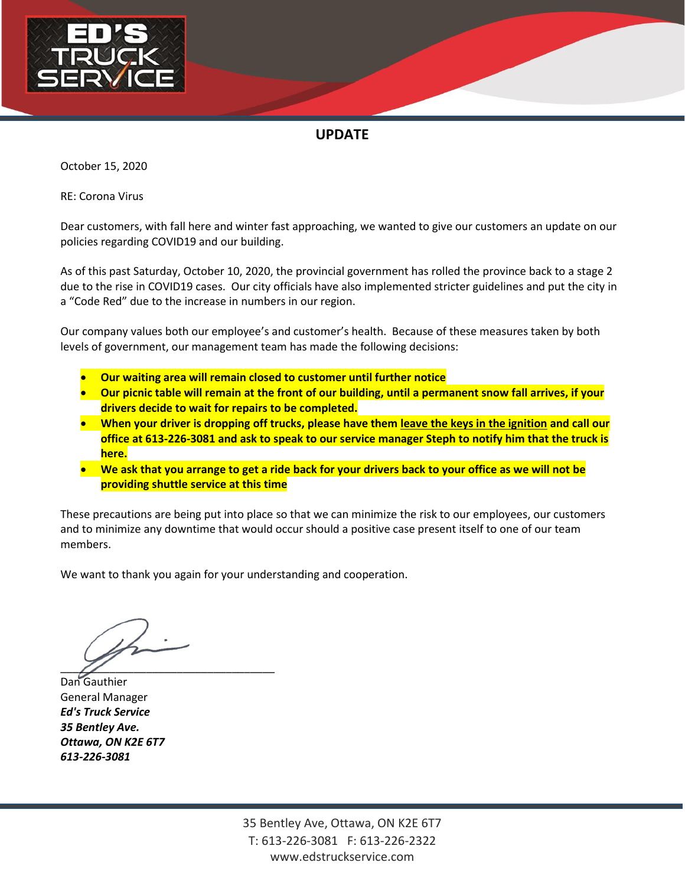

October 15, 2020

RE: Corona Virus

Dear customers, with fall here and winter fast approaching, we wanted to give our customers an update on our policies regarding COVID19 and our building.

As of this past Saturday, October 10, 2020, the provincial government has rolled the province back to a stage 2 due to the rise in COVID19 cases. Our city officials have also implemented stricter guidelines and put the city in a "Code Red" due to the increase in numbers in our region.

Our company values both our employee's and customer's health. Because of these measures taken by both levels of government, our management team has made the following decisions:

- **Our waiting area will remain closed to customer until further notice**
- **Our picnic table will remain at the front of our building, until a permanent snow fall arrives, if your drivers decide to wait for repairs to be completed.**
- **When your driver is dropping off trucks, please have them leave the keys in the ignition and call our office at 613-226-3081 and ask to speak to our service manager Steph to notify him that the truck is here.**
- **We ask that you arrange to get a ride back for your drivers back to your office as we will not be providing shuttle service at this time**

These precautions are being put into place so that we can minimize the risk to our employees, our customers and to minimize any downtime that would occur should a positive case present itself to one of our team members.

 $\overline{\mathscr{L}}$ 

Dan Gauthier General Manager *Ed's Truck Service 35 Bentley Ave. Ottawa, ON K2E 6T7 613-226-3081*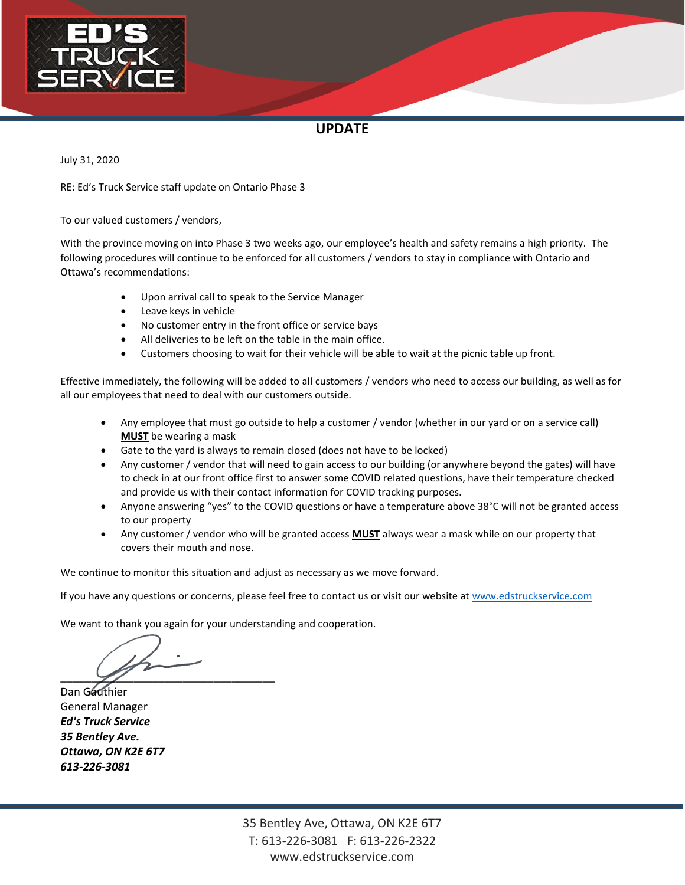

July 31, 2020

RE: Ed's Truck Service staff update on Ontario Phase 3

To our valued customers / vendors,

With the province moving on into Phase 3 two weeks ago, our employee's health and safety remains a high priority. The following procedures will continue to be enforced for all customers / vendors to stay in compliance with Ontario and Ottawa's recommendations:

- Upon arrival call to speak to the Service Manager
- Leave keys in vehicle
- No customer entry in the front office or service bays
- All deliveries to be left on the table in the main office.
- Customers choosing to wait for their vehicle will be able to wait at the picnic table up front.

Effective immediately, the following will be added to all customers / vendors who need to access our building, as well as for all our employees that need to deal with our customers outside.

- Any employee that must go outside to help a customer / vendor (whether in our yard or on a service call) **MUST** be wearing a mask
- Gate to the yard is always to remain closed (does not have to be locked)
- Any customer / vendor that will need to gain access to our building (or anywhere beyond the gates) will have to check in at our front office first to answer some COVID related questions, have their temperature checked and provide us with their contact information for COVID tracking purposes.
- Anyone answering "yes" to the COVID questions or have a temperature above 38°C will not be granted access to our property
- Any customer / vendor who will be granted access **MUST** always wear a mask while on our property that covers their mouth and nose.

We continue to monitor this situation and adjust as necessary as we move forward.

If you have any questions or concerns, please feel free to contact us or visit our website at [www.edstruckservice.com](http://www.edstruckservice.com/)

 $\overline{\mathscr{L}}$ 

Dan Geuthier General Manager *Ed's Truck Service 35 Bentley Ave. Ottawa, ON K2E 6T7 613-226-3081*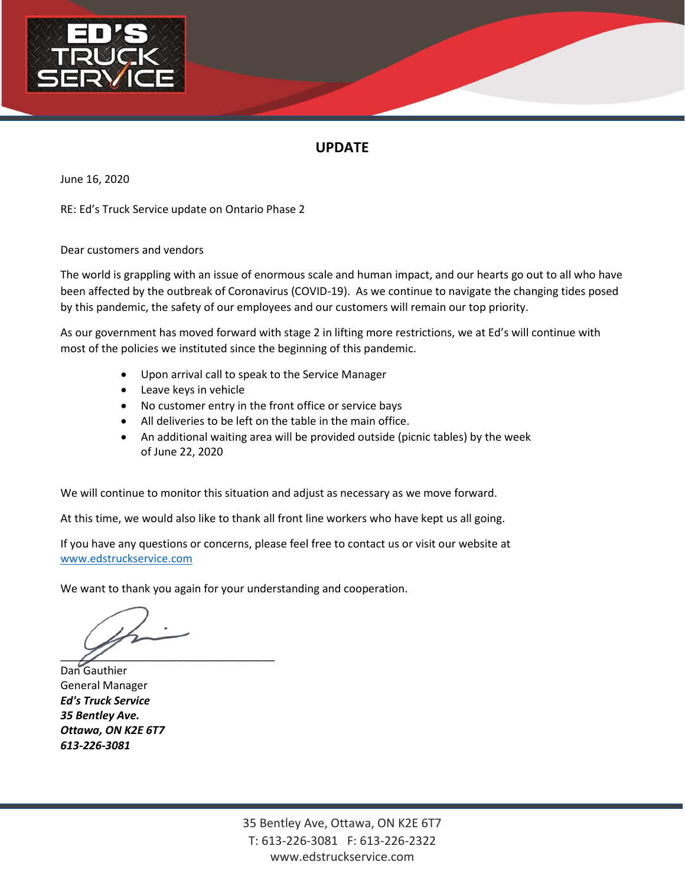

June 16, 2020

RE: Ed's Truck Service update on Ontario Phase 2

Dear customers and vendors

The world is grappling with an issue of enormous scale and human impact, and our hearts go out to all who have been affected by the outbreak of Coronavirus (COVID-19). As we continue to navigate the changing tides posed by this pandemic, the safety of our employees and our customers will remain our top priority.

As our government has moved forward with stage 2 in lifting more restrictions, we at Ed's will continue with most of the policies we instituted since the beginning of this pandemic.

- Upon arrival call to speak to the Service Manager
- Leave keys in vehicle
- No customer entry in the front office or service bays
- All deliveries to be left on the table in the main office.
- An additional waiting area will be provided outside (picnic tables) by the week of June 22, 2020

We will continue to monitor this situation and adjust as necessary as we move forward.

At this time, we would also like to thank all front line workers who have kept us all going.

If you have any questions or concerns, please feel free to contact us or visit our website at [www.edstruckservice.com](http://www.edstruckservice.com/)

 $\overline{\mathscr{L}}$ 

Dan Gauthier General Manager *Ed's Truck Service 35 Bentley Ave. Ottawa, ON K2E 6T7 613-226-3081*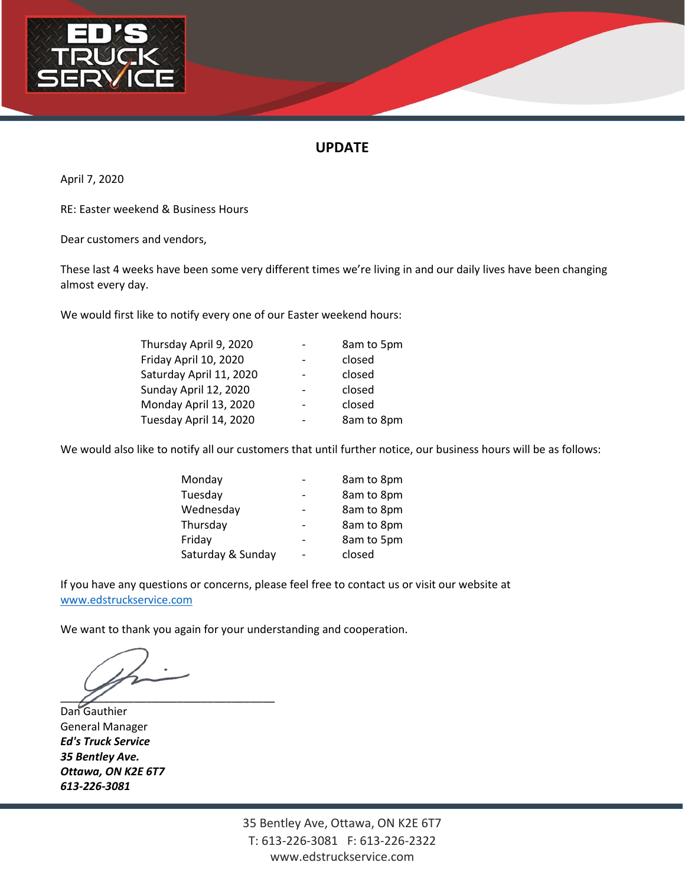

April 7, 2020

RE: Easter weekend & Business Hours

Dear customers and vendors,

These last 4 weeks have been some very different times we're living in and our daily lives have been changing almost every day.

We would first like to notify every one of our Easter weekend hours:

| Thursday April 9, 2020  | 8am to 5pm |  |
|-------------------------|------------|--|
| Friday April 10, 2020   | closed     |  |
| Saturday April 11, 2020 | closed     |  |
| Sunday April 12, 2020   | closed     |  |
| Monday April 13, 2020   | closed     |  |
| Tuesday April 14, 2020  | 8am to 8pm |  |
|                         |            |  |

We would also like to notify all our customers that until further notice, our business hours will be as follows:

| Monday            | 8am to 8pm |
|-------------------|------------|
| Tuesday           | 8am to 8pm |
| Wednesday         | 8am to 8pm |
| Thursday          | 8am to 8pm |
| Friday            | 8am to 5pm |
| Saturday & Sunday | closed     |

If you have any questions or concerns, please feel free to contact us or visit our website at [www.edstruckservice.com](http://www.edstruckservice.com/)

We want to thank you again for your understanding and cooperation.

 $\overline{\mathscr{L}}$ 

Dan Gauthier General Manager *Ed's Truck Service 35 Bentley Ave. Ottawa, ON K2E 6T7 613-226-3081*

> 35 Bentley Ave, Ottawa, ON K2E 6T7 T: 613-226-3081 F: 613-226-2322 www.edstruckservice.com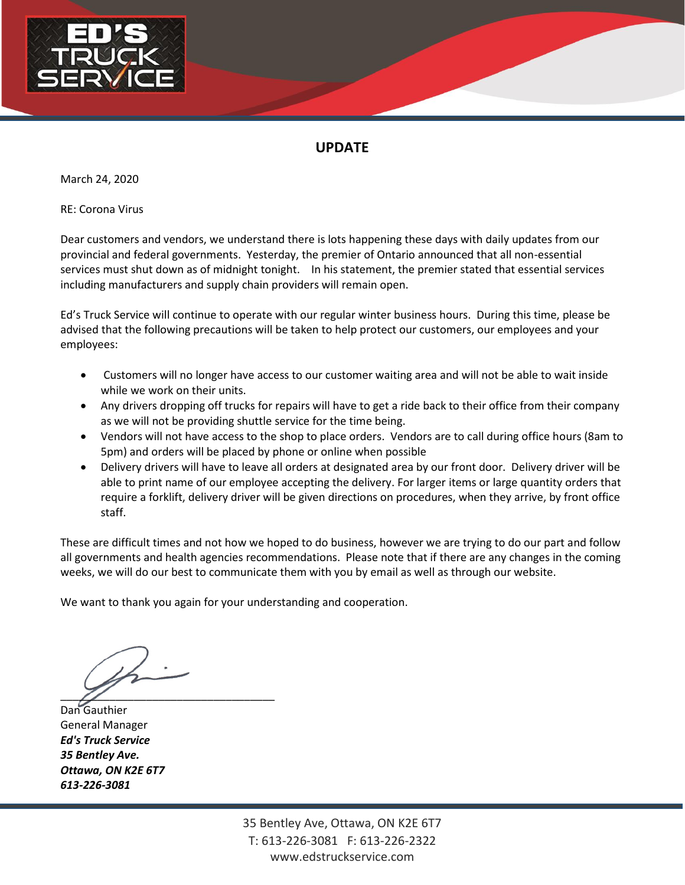

March 24, 2020

RE: Corona Virus

Dear customers and vendors, we understand there is lots happening these days with daily updates from our provincial and federal governments. Yesterday, the premier of Ontario announced that all non-essential services must shut down as of midnight tonight. In his statement, the premier stated that essential services including manufacturers and supply chain providers will remain open.

Ed's Truck Service will continue to operate with our regular winter business hours. During this time, please be advised that the following precautions will be taken to help protect our customers, our employees and your employees:

- Customers will no longer have access to our customer waiting area and will not be able to wait inside while we work on their units.
- Any drivers dropping off trucks for repairs will have to get a ride back to their office from their company as we will not be providing shuttle service for the time being.
- Vendors will not have access to the shop to place orders. Vendors are to call during office hours (8am to 5pm) and orders will be placed by phone or online when possible
- Delivery drivers will have to leave all orders at designated area by our front door. Delivery driver will be able to print name of our employee accepting the delivery. For larger items or large quantity orders that require a forklift, delivery driver will be given directions on procedures, when they arrive, by front office staff.

These are difficult times and not how we hoped to do business, however we are trying to do our part and follow all governments and health agencies recommendations. Please note that if there are any changes in the coming weeks, we will do our best to communicate them with you by email as well as through our website.

 $\overline{\mathscr{L}}$ 

Dan Gauthier General Manager *Ed's Truck Service 35 Bentley Ave. Ottawa, ON K2E 6T7 613-226-3081*